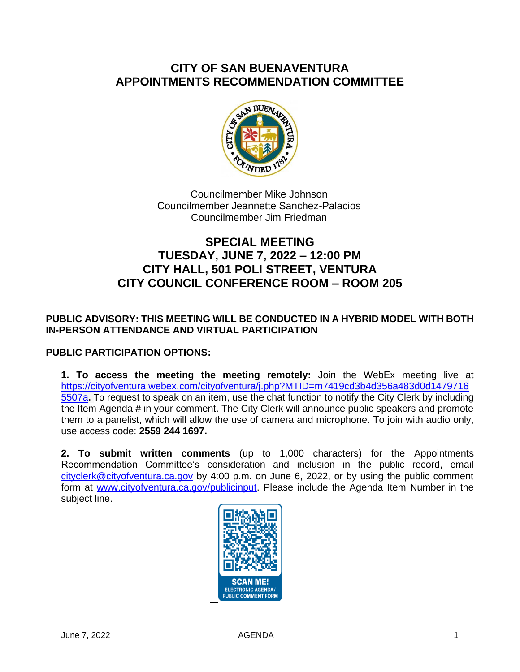# **CITY OF SAN BUENAVENTURA APPOINTMENTS RECOMMENDATION COMMITTEE**



Councilmember Mike Johnson Councilmember Jeannette Sanchez-Palacios Councilmember Jim Friedman

# **SPECIAL MEETING TUESDAY, JUNE 7, 2022 – 12:00 PM CITY HALL, 501 POLI STREET, VENTURA CITY COUNCIL CONFERENCE ROOM – ROOM 205**

## **PUBLIC ADVISORY: THIS MEETING WILL BE CONDUCTED IN A HYBRID MODEL WITH BOTH IN-PERSON ATTENDANCE AND VIRTUAL PARTICIPATION**

### **PUBLIC PARTICIPATION OPTIONS:**

**1. To access the meeting the meeting remotely:** Join the WebEx meeting live at [https://cityofventura.webex.com/cityofventura/j.php?MTID=m7419cd3b4d356a483d0d1479716](https://cityofventura.webex.com/cityofventura/j.php?MTID=m7419cd3b4d356a483d0d14797165507a) [5507a](https://cityofventura.webex.com/cityofventura/j.php?MTID=m7419cd3b4d356a483d0d14797165507a)**.** To request to speak on an item, use the chat function to notify the City Clerk by including the Item Agenda # in your comment. The City Clerk will announce public speakers and promote them to a panelist, which will allow the use of camera and microphone. To join with audio only, use access code: **2559 244 1697.**

**2. To submit written comments** (up to 1,000 characters) for the Appointments Recommendation Committee's consideration and inclusion in the public record, email [cityclerk@cityofventura.ca.gov](mailto:cityclerk@cityofventura.ca.gov) by 4:00 p.m. on June 6, 2022, or by using the public comment form at [www.cityofventura.ca.gov/publicinput.](http://www.cityofventura.ca.gov/publicinput) Please include the Agenda Item Number in the subject line.